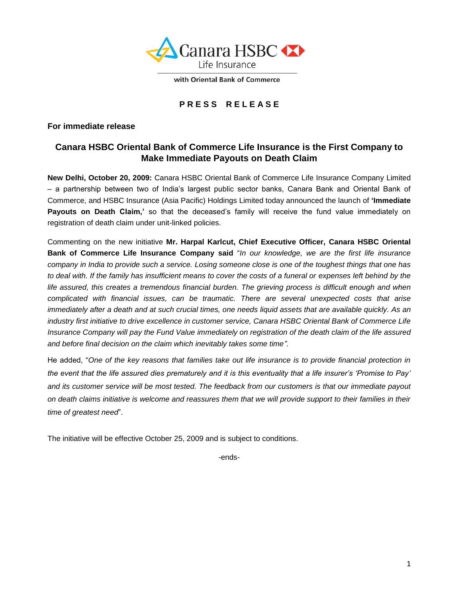

with Oriental Bank of Commerce

# **P R E S S R E L E A S E**

#### **For immediate release**

## **Canara HSBC Oriental Bank of Commerce Life Insurance is the First Company to Make Immediate Payouts on Death Claim**

**New Delhi, October 20, 2009:** Canara HSBC Oriental Bank of Commerce Life Insurance Company Limited – a partnership between two of India"s largest public sector banks, Canara Bank and Oriental Bank of Commerce, and HSBC Insurance (Asia Pacific) Holdings Limited today announced the launch of **'Immediate**  Payouts on Death Claim,' so that the deceased's family will receive the fund value immediately on registration of death claim under unit-linked policies.

Commenting on the new initiative **Mr. Harpal Karlcut, Chief Executive Officer, Canara HSBC Oriental Bank of Commerce Life Insurance Company said** "*In our knowledge, we are the first life insurance company in India to provide such a service. Losing someone close is one of the toughest things that one has to deal with. If the family has insufficient means to cover the costs of a funeral or expenses left behind by the life assured, this creates a tremendous financial burden. The grieving process is difficult enough and when complicated with financial issues, can be traumatic. There are several unexpected costs that arise immediately after a death and at such crucial times, one needs liquid assets that are available quickly. As an industry first initiative to drive excellence in customer service, Canara HSBC Oriental Bank of Commerce Life Insurance Company will pay the Fund Value immediately on registration of the death claim of the life assured and before final decision on the claim which inevitably takes some time".*

He added, "*One of the key reasons that families take out life insurance is to provide financial protection in the event that the life assured dies prematurely and it is this eventuality that a life insurer's 'Promise to Pay' and its customer service will be most tested. The feedback from our customers is that our immediate payout on death claims initiative is welcome and reassures them that we will provide support to their families in their time of greatest need*".

The initiative will be effective October 25, 2009 and is subject to conditions.

-ends-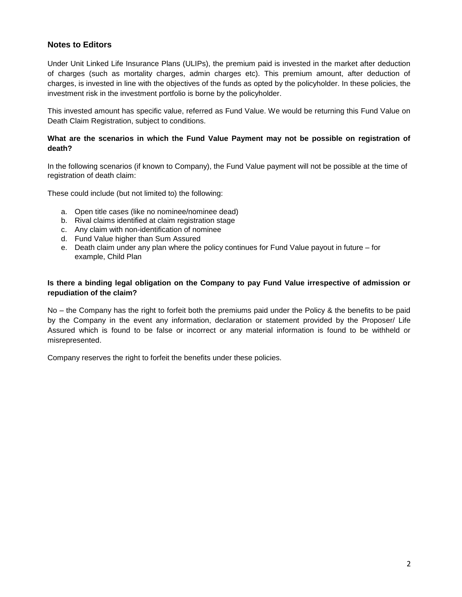### **Notes to Editors**

Under Unit Linked Life Insurance Plans (ULIPs), the premium paid is invested in the market after deduction of charges (such as mortality charges, admin charges etc). This premium amount, after deduction of charges, is invested in line with the objectives of the funds as opted by the policyholder. In these policies, the investment risk in the investment portfolio is borne by the policyholder.

This invested amount has specific value, referred as Fund Value. We would be returning this Fund Value on Death Claim Registration, subject to conditions.

#### **What are the scenarios in which the Fund Value Payment may not be possible on registration of death?**

In the following scenarios (if known to Company), the Fund Value payment will not be possible at the time of registration of death claim:

These could include (but not limited to) the following:

- a. Open title cases (like no nominee/nominee dead)
- b. Rival claims identified at claim registration stage
- c. Any claim with non-identification of nominee
- d. Fund Value higher than Sum Assured
- e. Death claim under any plan where the policy continues for Fund Value payout in future for example, Child Plan

#### **Is there a binding legal obligation on the Company to pay Fund Value irrespective of admission or repudiation of the claim?**

No – the Company has the right to forfeit both the premiums paid under the Policy & the benefits to be paid by the Company in the event any information, declaration or statement provided by the Proposer/ Life Assured which is found to be false or incorrect or any material information is found to be withheld or misrepresented.

Company reserves the right to forfeit the benefits under these policies.